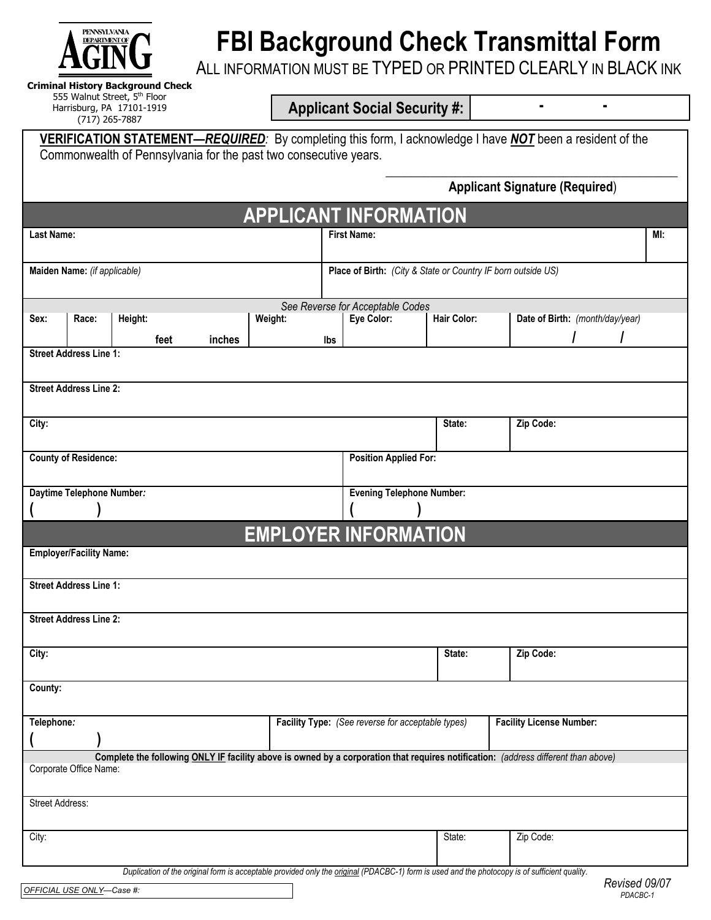

# **FBI Background Check Transmittal Form**

ALL INFORMATION MUST BE TYPED OR PRINTED CLEARLY IN BLACK INK

**Criminal History Background Check**  555 Walnut Street, 5th Floor Harrisburg, PA 17101-1919 (717) 265-7887

**Applicant Social Security #: - -** 

|                             |                                | VERIFICATION STATEMENT—REQUIRED: By completing this form, I acknowledge I have NOT been a resident of the<br>Commonwealth of Pennsylvania for the past two consecutive years. |        |         |     |                                                              |                    |  |                                       |  |     |
|-----------------------------|--------------------------------|-------------------------------------------------------------------------------------------------------------------------------------------------------------------------------|--------|---------|-----|--------------------------------------------------------------|--------------------|--|---------------------------------------|--|-----|
|                             |                                |                                                                                                                                                                               |        |         |     |                                                              |                    |  | <b>Applicant Signature (Required)</b> |  |     |
|                             |                                |                                                                                                                                                                               |        |         |     |                                                              |                    |  |                                       |  |     |
|                             |                                |                                                                                                                                                                               |        |         |     | <b>APPLICANT INFORMATION</b>                                 |                    |  |                                       |  |     |
| Last Name:                  |                                |                                                                                                                                                                               |        |         |     | <b>First Name:</b>                                           |                    |  |                                       |  | MI: |
|                             |                                |                                                                                                                                                                               |        |         |     |                                                              |                    |  |                                       |  |     |
|                             | Maiden Name: (if applicable)   |                                                                                                                                                                               |        |         |     | Place of Birth: (City & State or Country IF born outside US) |                    |  |                                       |  |     |
|                             |                                |                                                                                                                                                                               |        |         |     |                                                              |                    |  |                                       |  |     |
| Sex:                        | Race:                          | Height:                                                                                                                                                                       |        | Weight: |     | See Reverse for Acceptable Codes<br>Eye Color:               | <b>Hair Color:</b> |  | Date of Birth: (month/day/year)       |  |     |
|                             |                                | feet                                                                                                                                                                          | inches |         | lbs |                                                              |                    |  |                                       |  |     |
|                             | <b>Street Address Line 1:</b>  |                                                                                                                                                                               |        |         |     |                                                              |                    |  |                                       |  |     |
|                             |                                |                                                                                                                                                                               |        |         |     |                                                              |                    |  |                                       |  |     |
|                             | <b>Street Address Line 2:</b>  |                                                                                                                                                                               |        |         |     |                                                              |                    |  |                                       |  |     |
|                             |                                |                                                                                                                                                                               |        |         |     |                                                              |                    |  |                                       |  |     |
| City:                       |                                |                                                                                                                                                                               |        |         |     |                                                              | State:             |  | Zip Code:                             |  |     |
| <b>County of Residence:</b> |                                |                                                                                                                                                                               |        |         |     | <b>Position Applied For:</b>                                 |                    |  |                                       |  |     |
|                             |                                |                                                                                                                                                                               |        |         |     |                                                              |                    |  |                                       |  |     |
|                             |                                | Daytime Telephone Number:                                                                                                                                                     |        |         |     | <b>Evening Telephone Number:</b>                             |                    |  |                                       |  |     |
|                             |                                |                                                                                                                                                                               |        |         |     |                                                              |                    |  |                                       |  |     |
|                             |                                |                                                                                                                                                                               |        |         |     | <b>EMPLOYER INFORMATION</b>                                  |                    |  |                                       |  |     |
|                             | <b>Employer/Facility Name:</b> |                                                                                                                                                                               |        |         |     |                                                              |                    |  |                                       |  |     |
|                             |                                |                                                                                                                                                                               |        |         |     |                                                              |                    |  |                                       |  |     |
|                             | <b>Street Address Line 1:</b>  |                                                                                                                                                                               |        |         |     |                                                              |                    |  |                                       |  |     |
|                             |                                |                                                                                                                                                                               |        |         |     |                                                              |                    |  |                                       |  |     |
|                             | <b>Street Address Line 2:</b>  |                                                                                                                                                                               |        |         |     |                                                              |                    |  |                                       |  |     |
| City:                       |                                |                                                                                                                                                                               |        |         |     | Zip Code:<br>State:                                          |                    |  |                                       |  |     |
|                             |                                |                                                                                                                                                                               |        |         |     |                                                              |                    |  |                                       |  |     |
| County:                     |                                |                                                                                                                                                                               |        |         |     |                                                              |                    |  |                                       |  |     |
|                             |                                |                                                                                                                                                                               |        |         |     |                                                              |                    |  |                                       |  |     |
| Telephone:                  |                                |                                                                                                                                                                               |        |         |     | Facility Type: (See reverse for acceptable types)            |                    |  | <b>Facility License Number:</b>       |  |     |
|                             |                                |                                                                                                                                                                               |        |         |     |                                                              |                    |  |                                       |  |     |
|                             | Corporate Office Name:         | Complete the following ONLY IF facility above is owned by a corporation that requires notification: (address different than above)                                            |        |         |     |                                                              |                    |  |                                       |  |     |
|                             |                                |                                                                                                                                                                               |        |         |     |                                                              |                    |  |                                       |  |     |
| Street Address:             |                                |                                                                                                                                                                               |        |         |     |                                                              |                    |  |                                       |  |     |
|                             |                                |                                                                                                                                                                               |        |         |     |                                                              |                    |  |                                       |  |     |
| City:                       |                                |                                                                                                                                                                               |        |         |     |                                                              | State:             |  | Zip Code:                             |  |     |

*Duplication of the original form is acceptable provided only the original (PDACBC-1) form is used and the photocopy is of sufficient quality.*

*PDACBC-1 OFFICIAL USE ONLY—Case #:*